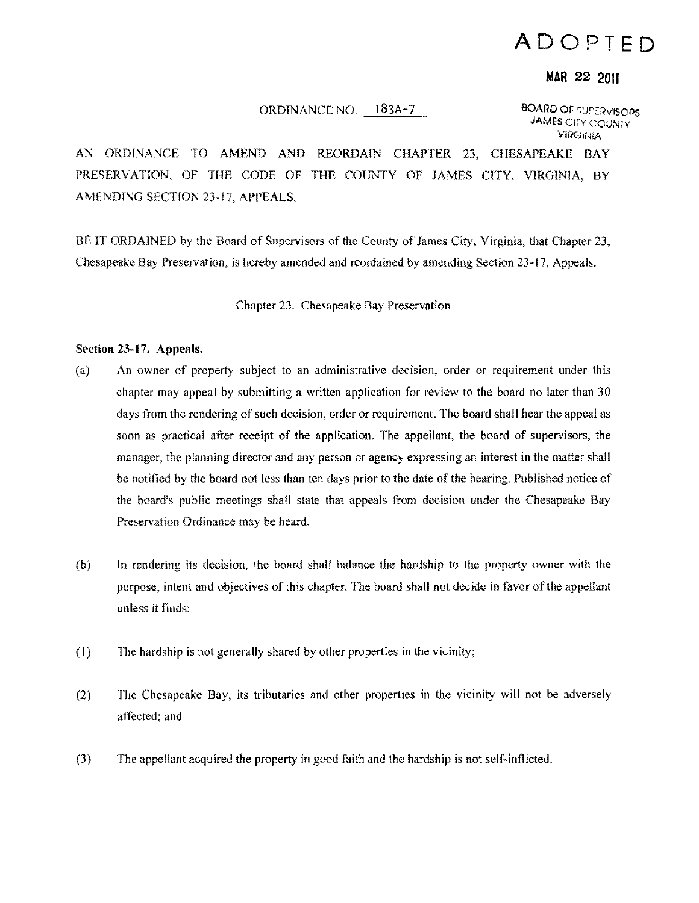## **ADOPTED**

## **MAR 22 2011**

## ORDINANCE NO. 183A-7 BOARD OF SUPERVISORS

**JAMES CITY COUNTY** Vlf'(;,NiA

AN ORDINANCE TO AMEND AND REORDAIN CHAPTER 23, CHESAPEAKE BAY PRESERVATION, OF THE CODE OF THE COUNTY OF JAMES CITY, VIRGINIA, BY AMENDING SECTION 23-17, APPEALS.

BE IT ORDAINED by the Board of Supervisors of the County of James City, Virginia, that Chapter 23, Chesapeake Bay Preservation, is hereby amended and reordained by amending Section 23-17, Appeals.

Chapter 23. Chesapeake Bay Preservation

## Section 23-17. Appeals.

- (a) An owner of property subject to an administrative decision, order or requirement under this chapter may appeal by submitting a written application for review to the board no later than 30 days from the rendering of such decision, order or requirement. The board shall hear the appeal as soon as practical after receipt of the application. The appellant, the board of supervisors, the manager, the planning director and any person or agency expressing an interest in the matter shall be notified by the board not less than ten days prior to the date of the hearing. Published notice of the board's public meetings shall state that appeals from decision under the Chesapeake Bay Preservation Ordinance may be heard.
- (b) In rendering its decision. the board shall balance the hardship to the property owner with the purpose, intent and objectives of this chapter. The board shall not decide in favor of the appellant unless it finds:
- (I) The hardship is not generally shared by other properties in the vicinity;
- (2) The Chesapeake Bay, its tributaries and other properties in the vicinity will not be adversely affected: and
- (3) The appellant acquired the property in good faith and the hardship is not self-inflicted.